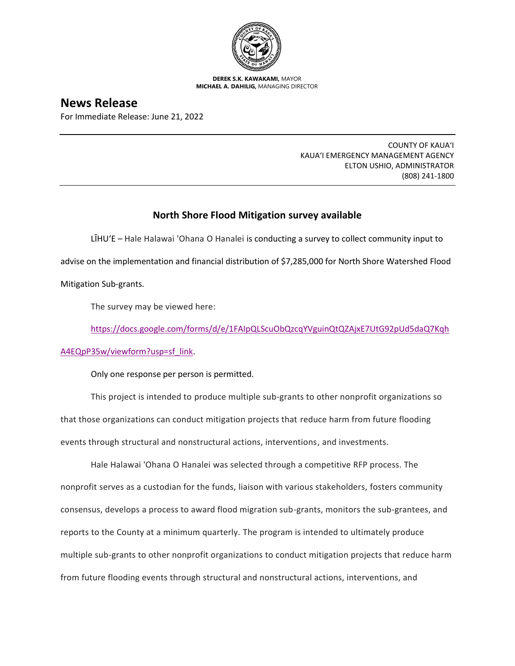

**DEREK S.K. KAWAKAMI,** MAYOR **MICHAEL A. DAHILIG,** MANAGING DIRECTOR

## **News Release**

For Immediate Release: June 21, 2022

COUNTY OF KAUA'I KAUA'I EMERGENCY MANAGEMENT AGENCY ELTON USHIO, ADMINISTRATOR (808) 241-1800

## **North Shore Flood Mitigation survey available**

LĪHU'E – Hale Halawai 'Ohana O Hanalei is conducting a survey to collect community input to advise on the implementation and financial distribution of \$7,285,000 for North Shore Watershed Flood Mitigation Sub-grants.

The survey may be viewed here:

[https://docs.google.com/forms/d/e/1FAIpQLScuObQzcqYVguinQtQZAjxE7UtG92pUd5daQ7Kqh](https://docs.google.com/forms/d/e/1FAIpQLScuObQzcqYVguinQtQZAjxE7UtG92pUd5daQ7KqhA4EQpP35w/viewform?usp=sf_link)

[A4EQpP35w/viewform?usp=sf\\_link.](https://docs.google.com/forms/d/e/1FAIpQLScuObQzcqYVguinQtQZAjxE7UtG92pUd5daQ7KqhA4EQpP35w/viewform?usp=sf_link)

Only one response per person is permitted.

This project is intended to produce multiple sub-grants to other nonprofit organizations so that those organizations can conduct mitigation projects that reduce harm from future flooding events through structural and nonstructural actions, interventions, and investments.

Hale Halawai 'Ohana O Hanalei was selected through a competitive RFP process. The nonprofit serves as a custodian for the funds, liaison with various stakeholders, fosters community consensus, develops a process to award flood migration sub-grants, monitors the sub-grantees, and reports to the County at a minimum quarterly. The program is intended to ultimately produce multiple sub-grants to other nonprofit organizations to conduct mitigation projects that reduce harm from future flooding events through structural and nonstructural actions, interventions, and